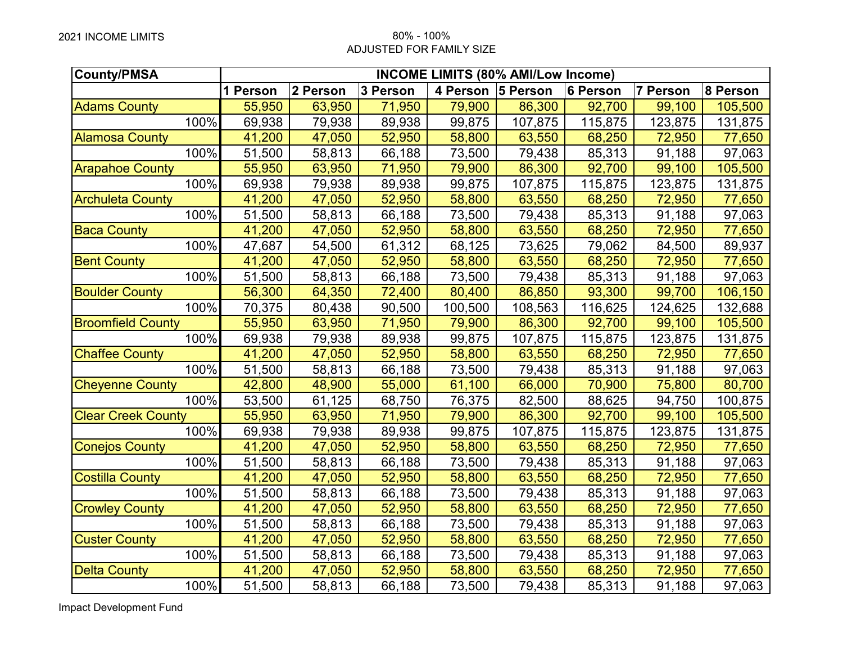## 2021 INCOME LIMITS 80% - 100% ADJUSTED FOR FAMILY SIZE

| <b>County/PMSA</b>        | <b>INCOME LIMITS (80% AMI/Low Income)</b> |          |          |                   |         |          |          |          |
|---------------------------|-------------------------------------------|----------|----------|-------------------|---------|----------|----------|----------|
|                           | 1 Person                                  | 2 Person | 3 Person | 4 Person 5 Person |         | 6 Person | 7 Person | 8 Person |
| <b>Adams County</b>       | 55,950                                    | 63,950   | 71,950   | 79,900            | 86,300  | 92,700   | 99,100   | 105,500  |
| 100%                      | 69,938                                    | 79,938   | 89,938   | 99,875            | 107,875 | 115,875  | 123,875  | 131,875  |
| <b>Alamosa County</b>     | 41,200                                    | 47,050   | 52,950   | 58,800            | 63,550  | 68,250   | 72,950   | 77,650   |
| 100%                      | 51,500                                    | 58,813   | 66,188   | 73,500            | 79,438  | 85,313   | 91,188   | 97,063   |
| <b>Arapahoe County</b>    | 55,950                                    | 63,950   | 71,950   | 79,900            | 86,300  | 92,700   | 99,100   | 105,500  |
| 100%                      | 69,938                                    | 79,938   | 89,938   | 99,875            | 107,875 | 115,875  | 123,875  | 131,875  |
| <b>Archuleta County</b>   | 41,200                                    | 47,050   | 52,950   | 58,800            | 63,550  | 68,250   | 72,950   | 77,650   |
| 100%                      | 51,500                                    | 58,813   | 66,188   | 73,500            | 79,438  | 85,313   | 91,188   | 97,063   |
| <b>Baca County</b>        | 41,200                                    | 47,050   | 52,950   | 58,800            | 63,550  | 68,250   | 72,950   | 77,650   |
| 100%                      | 47,687                                    | 54,500   | 61,312   | 68,125            | 73,625  | 79,062   | 84,500   | 89,937   |
| <b>Bent County</b>        | 41,200                                    | 47,050   | 52,950   | 58,800            | 63,550  | 68,250   | 72,950   | 77,650   |
| 100%                      | 51,500                                    | 58,813   | 66,188   | 73,500            | 79,438  | 85,313   | 91,188   | 97,063   |
| <b>Boulder County</b>     | 56,300                                    | 64,350   | 72,400   | 80,400            | 86,850  | 93,300   | 99,700   | 106,150  |
| 100%                      | 70,375                                    | 80,438   | 90,500   | 100,500           | 108,563 | 116,625  | 124,625  | 132,688  |
| <b>Broomfield County</b>  | 55,950                                    | 63,950   | 71,950   | 79,900            | 86,300  | 92,700   | 99,100   | 105,500  |
| 100%                      | 69,938                                    | 79,938   | 89,938   | 99,875            | 107,875 | 115,875  | 123,875  | 131,875  |
| <b>Chaffee County</b>     | 41,200                                    | 47,050   | 52,950   | 58,800            | 63,550  | 68,250   | 72,950   | 77,650   |
| 100%                      | 51,500                                    | 58,813   | 66,188   | 73,500            | 79,438  | 85,313   | 91,188   | 97,063   |
| <b>Cheyenne County</b>    | 42,800                                    | 48,900   | 55,000   | 61,100            | 66,000  | 70,900   | 75,800   | 80,700   |
| 100%                      | 53,500                                    | 61,125   | 68,750   | 76,375            | 82,500  | 88,625   | 94,750   | 100,875  |
| <b>Clear Creek County</b> | 55,950                                    | 63,950   | 71,950   | 79,900            | 86,300  | 92,700   | 99,100   | 105,500  |
| 100%                      | 69,938                                    | 79,938   | 89,938   | 99,875            | 107,875 | 115,875  | 123,875  | 131,875  |
| <b>Conejos County</b>     | 41,200                                    | 47,050   | 52,950   | 58,800            | 63,550  | 68,250   | 72,950   | 77,650   |
| 100%                      | 51,500                                    | 58,813   | 66,188   | 73,500            | 79,438  | 85,313   | 91,188   | 97,063   |
| <b>Costilla County</b>    | 41,200                                    | 47,050   | 52,950   | 58,800            | 63,550  | 68,250   | 72,950   | 77,650   |
| 100%                      | 51,500                                    | 58,813   | 66,188   | 73,500            | 79,438  | 85,313   | 91,188   | 97,063   |
| <b>Crowley County</b>     | 41,200                                    | 47,050   | 52,950   | 58,800            | 63,550  | 68,250   | 72,950   | 77,650   |
| 100%                      | 51,500                                    | 58,813   | 66,188   | 73,500            | 79,438  | 85,313   | 91,188   | 97,063   |
| <b>Custer County</b>      | 41,200                                    | 47,050   | 52,950   | 58,800            | 63,550  | 68,250   | 72,950   | 77,650   |
| 100%                      | 51,500                                    | 58,813   | 66,188   | 73,500            | 79,438  | 85,313   | 91,188   | 97,063   |
| <b>Delta County</b>       | 41,200                                    | 47,050   | 52,950   | 58,800            | 63,550  | 68,250   | 72,950   | 77,650   |
| 100%                      | 51,500                                    | 58,813   | 66,188   | 73,500            | 79,438  | 85,313   | 91,188   | 97,063   |

Impact Development Fund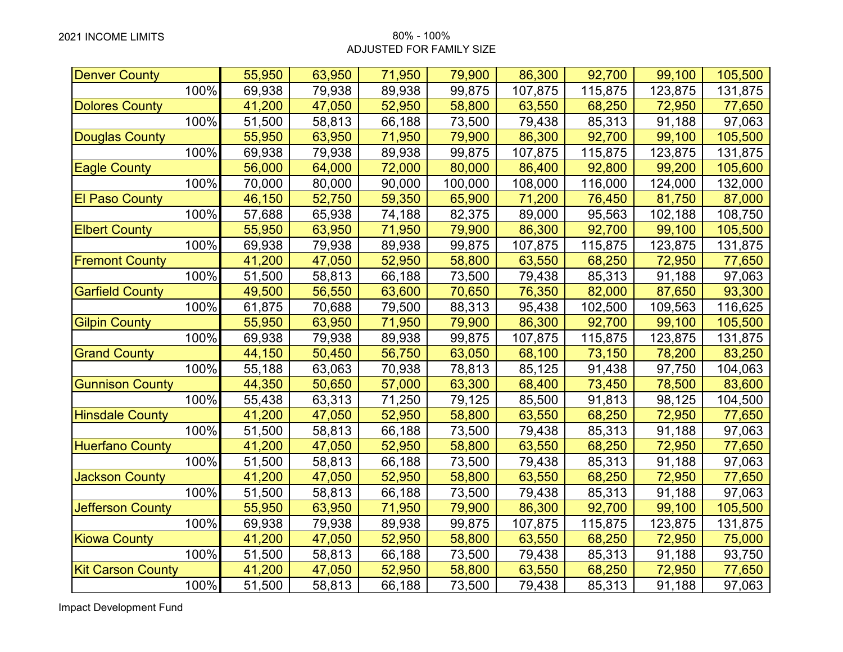## ADJUSTED FOR FAMILY SIZE

| <b>Denver County</b>     |      | 55,950 | 63,950 | 71,950 | 79,900  | 86,300  | 92,700  | 99,100  | 105,500 |
|--------------------------|------|--------|--------|--------|---------|---------|---------|---------|---------|
|                          | 100% | 69,938 | 79,938 | 89,938 | 99,875  | 107,875 | 115,875 | 123,875 | 131,875 |
| <b>Dolores County</b>    |      | 41,200 | 47,050 | 52,950 | 58,800  | 63,550  | 68,250  | 72,950  | 77,650  |
|                          | 100% | 51,500 | 58,813 | 66,188 | 73,500  | 79,438  | 85,313  | 91,188  | 97,063  |
| <b>Douglas County</b>    |      | 55,950 | 63,950 | 71,950 | 79,900  | 86,300  | 92,700  | 99,100  | 105,500 |
|                          | 100% | 69,938 | 79,938 | 89,938 | 99,875  | 107,875 | 115,875 | 123,875 | 131,875 |
| <b>Eagle County</b>      |      | 56,000 | 64,000 | 72,000 | 80,000  | 86,400  | 92,800  | 99,200  | 105,600 |
|                          | 100% | 70,000 | 80,000 | 90,000 | 100,000 | 108,000 | 116,000 | 124,000 | 132,000 |
| <b>El Paso County</b>    |      | 46,150 | 52,750 | 59,350 | 65,900  | 71,200  | 76,450  | 81,750  | 87,000  |
|                          | 100% | 57,688 | 65,938 | 74,188 | 82,375  | 89,000  | 95,563  | 102,188 | 108,750 |
| <b>Elbert County</b>     |      | 55,950 | 63,950 | 71,950 | 79,900  | 86,300  | 92,700  | 99,100  | 105,500 |
|                          | 100% | 69,938 | 79,938 | 89,938 | 99,875  | 107,875 | 115,875 | 123,875 | 131,875 |
| <b>Fremont County</b>    |      | 41,200 | 47,050 | 52,950 | 58,800  | 63,550  | 68,250  | 72,950  | 77,650  |
|                          | 100% | 51,500 | 58,813 | 66,188 | 73,500  | 79,438  | 85,313  | 91,188  | 97,063  |
| <b>Garfield County</b>   |      | 49,500 | 56,550 | 63,600 | 70,650  | 76,350  | 82,000  | 87,650  | 93,300  |
|                          | 100% | 61,875 | 70,688 | 79,500 | 88,313  | 95,438  | 102,500 | 109,563 | 116,625 |
| <b>Gilpin County</b>     |      | 55,950 | 63,950 | 71,950 | 79,900  | 86,300  | 92,700  | 99,100  | 105,500 |
|                          | 100% | 69,938 | 79,938 | 89,938 | 99,875  | 107,875 | 115,875 | 123,875 | 131,875 |
| <b>Grand County</b>      |      | 44,150 | 50,450 | 56,750 | 63,050  | 68,100  | 73,150  | 78,200  | 83,250  |
|                          | 100% | 55,188 | 63,063 | 70,938 | 78,813  | 85,125  | 91,438  | 97,750  | 104,063 |
| <b>Gunnison County</b>   |      | 44,350 | 50,650 | 57,000 | 63,300  | 68,400  | 73,450  | 78,500  | 83,600  |
|                          | 100% | 55,438 | 63,313 | 71,250 | 79,125  | 85,500  | 91,813  | 98,125  | 104,500 |
| <b>Hinsdale County</b>   |      | 41,200 | 47,050 | 52,950 | 58,800  | 63,550  | 68,250  | 72,950  | 77,650  |
|                          | 100% | 51,500 | 58,813 | 66,188 | 73,500  | 79,438  | 85,313  | 91,188  | 97,063  |
| <b>Huerfano County</b>   |      | 41,200 | 47,050 | 52,950 | 58,800  | 63,550  | 68,250  | 72,950  | 77,650  |
|                          | 100% | 51,500 | 58,813 | 66,188 | 73,500  | 79,438  | 85,313  | 91,188  | 97,063  |
| <b>Jackson County</b>    |      | 41,200 | 47,050 | 52,950 | 58,800  | 63,550  | 68,250  | 72,950  | 77,650  |
|                          | 100% | 51,500 | 58,813 | 66,188 | 73,500  | 79,438  | 85,313  | 91,188  | 97,063  |
| <b>Jefferson County</b>  |      | 55,950 | 63,950 | 71,950 | 79,900  | 86,300  | 92,700  | 99,100  | 105,500 |
|                          | 100% | 69,938 | 79,938 | 89,938 | 99,875  | 107,875 | 115,875 | 123,875 | 131,875 |
| <b>Kiowa County</b>      |      | 41,200 | 47,050 | 52,950 | 58,800  | 63,550  | 68,250  | 72,950  | 75,000  |
|                          | 100% | 51,500 | 58,813 | 66,188 | 73,500  | 79,438  | 85,313  | 91,188  | 93,750  |
| <b>Kit Carson County</b> |      | 41,200 | 47,050 | 52,950 | 58,800  | 63,550  | 68,250  | 72,950  | 77,650  |
|                          | 100% | 51,500 | 58,813 | 66,188 | 73,500  | 79,438  | 85,313  | 91,188  | 97,063  |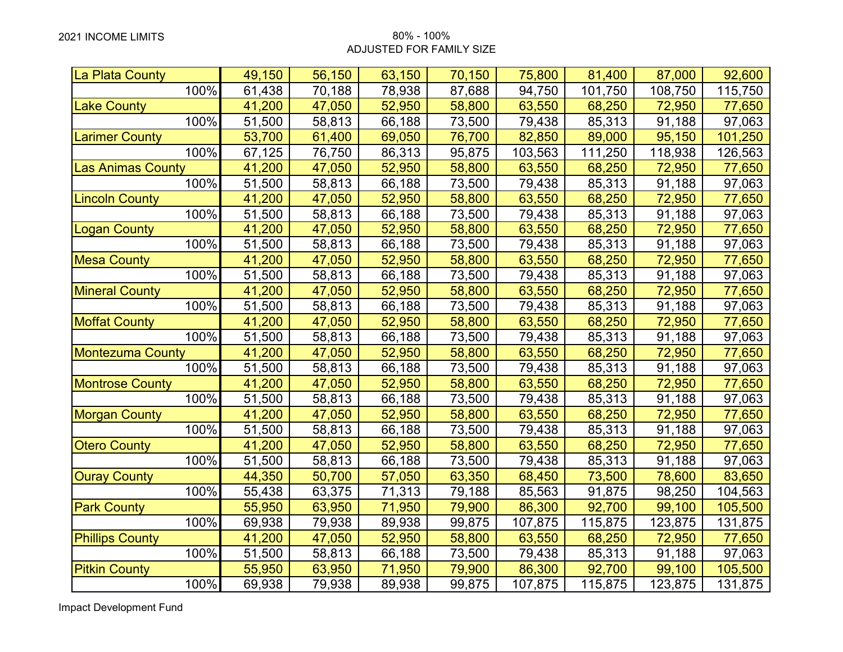## 2021 INCOME LIMITS 80% - 100% ADJUSTED FOR FAMILY SIZE

| La Plata County          | 49,150 | 56,150 | 63,150 | 70,150 | 75,800  | 81,400  | 87,000  | 92,600  |
|--------------------------|--------|--------|--------|--------|---------|---------|---------|---------|
| 100%                     | 61,438 | 70,188 | 78,938 | 87,688 | 94,750  | 101,750 | 108,750 | 115,750 |
| <b>Lake County</b>       | 41,200 | 47,050 | 52,950 | 58,800 | 63,550  | 68,250  | 72,950  | 77,650  |
| 100%                     | 51,500 | 58,813 | 66,188 | 73,500 | 79,438  | 85,313  | 91,188  | 97,063  |
| <b>Larimer County</b>    | 53,700 | 61,400 | 69,050 | 76,700 | 82,850  | 89,000  | 95,150  | 101,250 |
| 100%                     | 67,125 | 76,750 | 86,313 | 95,875 | 103,563 | 111,250 | 118,938 | 126,563 |
| <b>Las Animas County</b> | 41,200 | 47,050 | 52,950 | 58,800 | 63,550  | 68,250  | 72,950  | 77,650  |
| 100%                     | 51,500 | 58,813 | 66,188 | 73,500 | 79,438  | 85,313  | 91,188  | 97,063  |
| <b>Lincoln County</b>    | 41,200 | 47,050 | 52,950 | 58,800 | 63,550  | 68,250  | 72,950  | 77,650  |
| 100%                     | 51,500 | 58,813 | 66,188 | 73,500 | 79,438  | 85,313  | 91,188  | 97,063  |
| <b>Logan County</b>      | 41,200 | 47,050 | 52,950 | 58,800 | 63,550  | 68,250  | 72,950  | 77,650  |
| 100%                     | 51,500 | 58,813 | 66,188 | 73,500 | 79,438  | 85,313  | 91,188  | 97,063  |
| <b>Mesa County</b>       | 41,200 | 47,050 | 52,950 | 58,800 | 63,550  | 68,250  | 72,950  | 77,650  |
| 100%                     | 51,500 | 58,813 | 66,188 | 73,500 | 79,438  | 85,313  | 91,188  | 97,063  |
| <b>Mineral County</b>    | 41,200 | 47,050 | 52,950 | 58,800 | 63,550  | 68,250  | 72,950  | 77,650  |
| 100%                     | 51,500 | 58,813 | 66,188 | 73,500 | 79,438  | 85,313  | 91,188  | 97,063  |
| <b>Moffat County</b>     | 41,200 | 47,050 | 52,950 | 58,800 | 63,550  | 68,250  | 72,950  | 77,650  |
| 100%                     | 51,500 | 58,813 | 66,188 | 73,500 | 79,438  | 85,313  | 91,188  | 97,063  |
| <b>Montezuma County</b>  | 41,200 | 47,050 | 52,950 | 58,800 | 63,550  | 68,250  | 72,950  | 77,650  |
| 100%                     | 51,500 | 58,813 | 66,188 | 73,500 | 79,438  | 85,313  | 91,188  | 97,063  |
| <b>Montrose County</b>   | 41,200 | 47,050 | 52,950 | 58,800 | 63,550  | 68,250  | 72,950  | 77,650  |
| 100%                     | 51,500 | 58,813 | 66,188 | 73,500 | 79,438  | 85,313  | 91,188  | 97,063  |
| <b>Morgan County</b>     | 41,200 | 47,050 | 52,950 | 58,800 | 63,550  | 68,250  | 72,950  | 77,650  |
| 100%                     | 51,500 | 58,813 | 66,188 | 73,500 | 79,438  | 85,313  | 91,188  | 97,063  |
| <b>Otero County</b>      | 41,200 | 47,050 | 52,950 | 58,800 | 63,550  | 68,250  | 72,950  | 77,650  |
| 100%                     | 51,500 | 58,813 | 66,188 | 73,500 | 79,438  | 85,313  | 91,188  | 97,063  |
| <b>Ouray County</b>      | 44,350 | 50,700 | 57,050 | 63,350 | 68,450  | 73,500  | 78,600  | 83,650  |
| 100%                     | 55,438 | 63,375 | 71,313 | 79,188 | 85,563  | 91,875  | 98,250  | 104,563 |
| <b>Park County</b>       | 55,950 | 63,950 | 71,950 | 79,900 | 86,300  | 92,700  | 99,100  | 105,500 |
| 100%                     | 69,938 | 79,938 | 89,938 | 99,875 | 107,875 | 115,875 | 123,875 | 131,875 |
| <b>Phillips County</b>   | 41,200 | 47,050 | 52,950 | 58,800 | 63,550  | 68,250  | 72,950  | 77,650  |
| 100%                     | 51,500 | 58,813 | 66,188 | 73,500 | 79,438  | 85,313  | 91,188  | 97,063  |
| <b>Pitkin County</b>     | 55,950 | 63,950 | 71,950 | 79,900 | 86,300  | 92,700  | 99,100  | 105,500 |
| 100%                     | 69,938 | 79,938 | 89,938 | 99,875 | 107,875 | 115,875 | 123,875 | 131,875 |